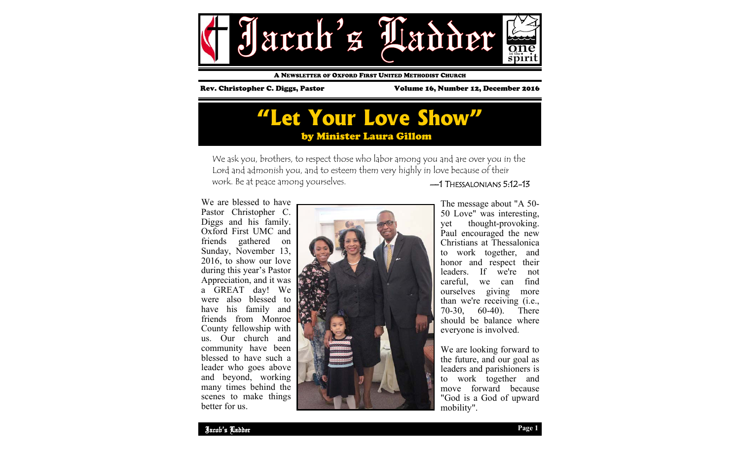

A NEWSLETTER OF OXFORD FIRST UNITED METHODIST CHURCH

Rev. Christopher C. Diggs, Pastor Volume 16, Number 12, December 2016

### **"Let Your Love Show"** by Minister Laura Gillom

—1 THESSALONIANS 5:12-13 We ask you, brothers, to respect those who labor among you and are over you in the Lord and admonish you, and to esteem them very highly in love because of their work. Be at peace among yourselves.

We are blessed to have Pastor Christopher C. Diggs and his family. Oxford First UMC and friends gathered on Sunday, November 13, 2016, to show our love during this year's Pastor Appreciation, and it was a GREAT day! We were also blessed to have his family and friends from Monroe County fellowship with us. Our church and community have been blessed to have such a leader who goes above and beyond, working many times behind the scenes to make things better for us.



The message about "A 50- 50 Love" was interesting, yet thought-provoking. Paul encouraged the new Christians at Thessalonica to work together, and honor and respect their leaders. If we're not careful, we can find ourselves giving more than we're receiving (i.e., 70-30, 60-40). There should be balance where everyone is involved.

We are looking forward to the future, and our goal as leaders and parishioners is to work together and move forward because "God is a God of upward mobility".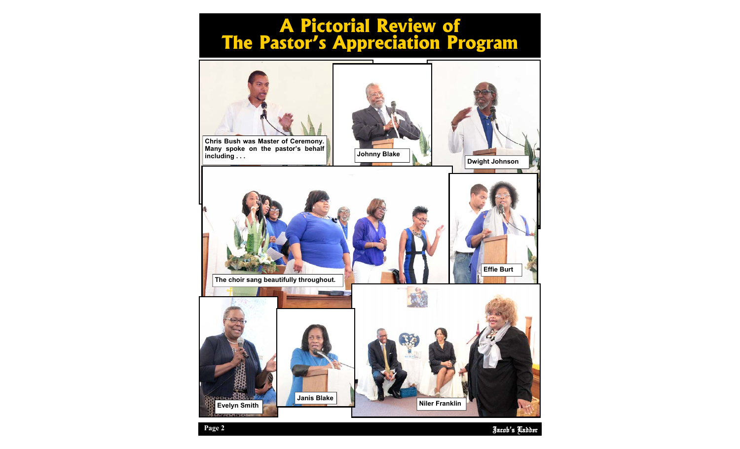# **A Pictorial Review of The Pastor's Appreciation Program**



Jacob's Ladder **Page 2**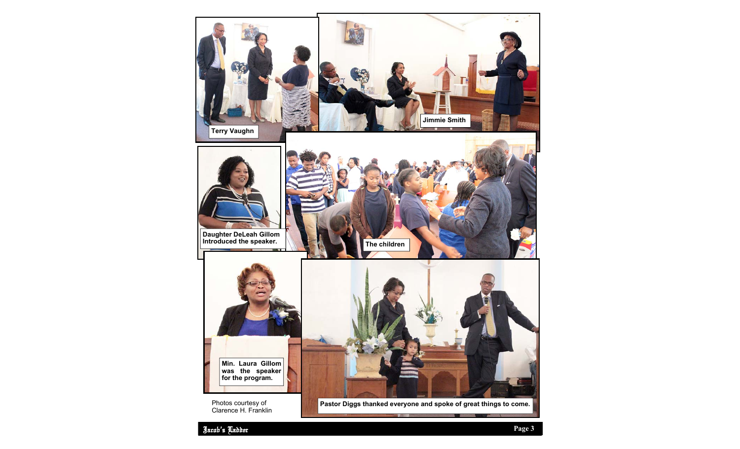